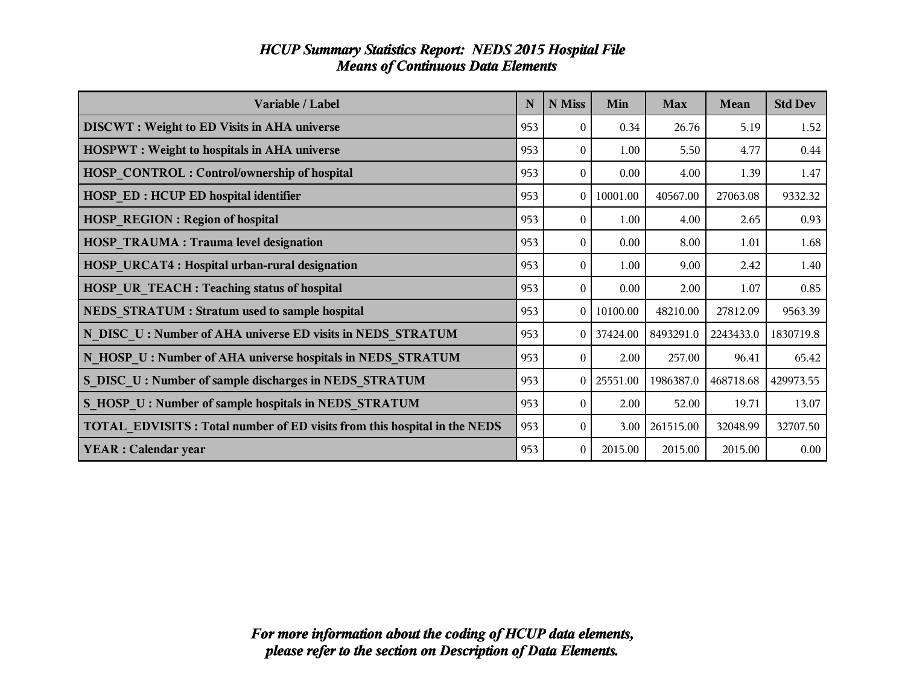| Variable / Label                                                         | N   | N Miss         | Min      | <b>Max</b> | <b>Mean</b> | <b>Std Dev</b> |
|--------------------------------------------------------------------------|-----|----------------|----------|------------|-------------|----------------|
| <b>DISCWT</b> : Weight to ED Visits in AHA universe                      | 953 | $\theta$       | 0.34     | 26.76      | 5.19        | 1.52           |
| <b>HOSPWT</b> : Weight to hospitals in AHA universe                      | 953 | $\theta$       | 1.00     | 5.50       | 4.77        | 0.44           |
| <b>HOSP CONTROL: Control/ownership of hospital</b>                       | 953 | $\theta$       | 0.00     | 4.00       | 1.39        | 1.47           |
| <b>HOSP ED: HCUP ED hospital identifier</b>                              | 953 | $\theta$       | 10001.00 | 40567.00   | 27063.08    | 9332.32        |
| <b>HOSP_REGION: Region of hospital</b>                                   | 953 | $\theta$       | 1.00     | 4.00       | 2.65        | 0.93           |
| <b>HOSP TRAUMA: Trauma level designation</b>                             | 953 | $\theta$       | 0.00     | 8.00       | 1.01        | 1.68           |
| <b>HOSP URCAT4: Hospital urban-rural designation</b>                     | 953 | $\theta$       | 1.00     | 9.00       | 2.42        | 1.40           |
| HOSP UR_TEACH : Teaching status of hospital                              | 953 | $\theta$       | 0.00     | 2.00       | 1.07        | 0.85           |
| NEDS STRATUM : Stratum used to sample hospital                           | 953 | $\overline{0}$ | 10100.00 | 48210.00   | 27812.09    | 9563.39        |
| N DISC U: Number of AHA universe ED visits in NEDS STRATUM               | 953 | $\overline{0}$ | 37424.00 | 8493291.0  | 2243433.0   | 1830719.8      |
| N_HOSP_U : Number of AHA universe hospitals in NEDS_STRATUM              | 953 | $\theta$       | 2.00     | 257.00     | 96.41       | 65.42          |
| S DISC U: Number of sample discharges in NEDS STRATUM                    | 953 | $\overline{0}$ | 25551.00 | 1986387.0  | 468718.68   | 429973.55      |
| S HOSP U: Number of sample hospitals in NEDS STRATUM                     | 953 | $\theta$       | 2.00     | 52.00      | 19.71       | 13.07          |
| TOTAL EDVISITS: Total number of ED visits from this hospital in the NEDS | 953 | $\theta$       | 3.00     | 261515.00  | 32048.99    | 32707.50       |
| <b>YEAR</b> : Calendar year                                              | 953 | $\mathbf{0}$   | 2015.00  | 2015.00    | 2015.00     | 0.00           |

# *HCUP Summary Statistics Report: NEDS 2015 Hospital File Means of Continuous Data Elements*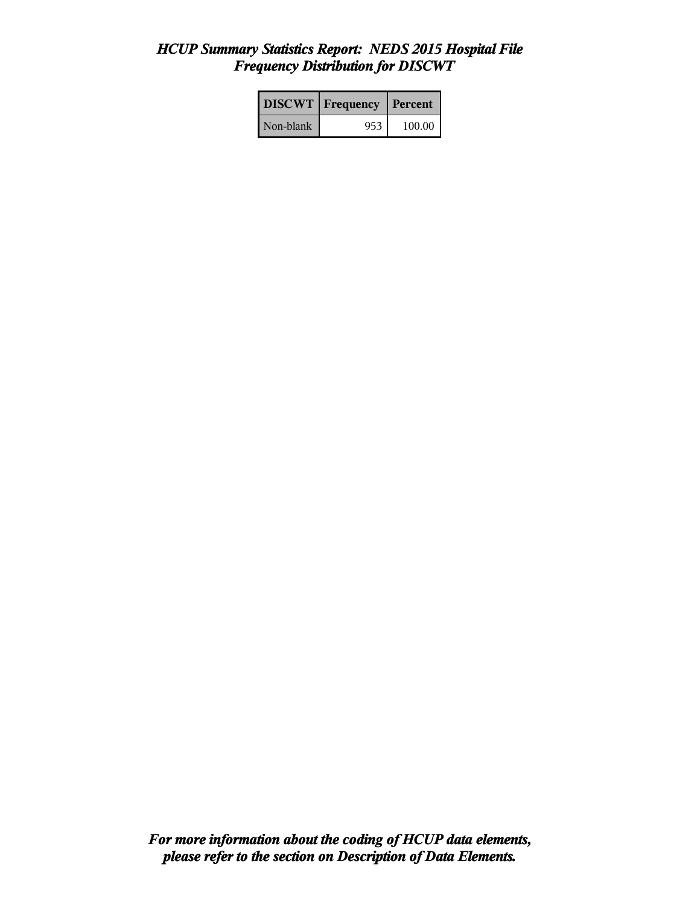### *HCUP Summary Statistics Report: NEDS 2015 Hospital File Frequency Distribution for DISCWT*

|           | <b>DISCWT</b>   Frequency | Percent |
|-----------|---------------------------|---------|
| Non-blank | 953                       | 100.00  |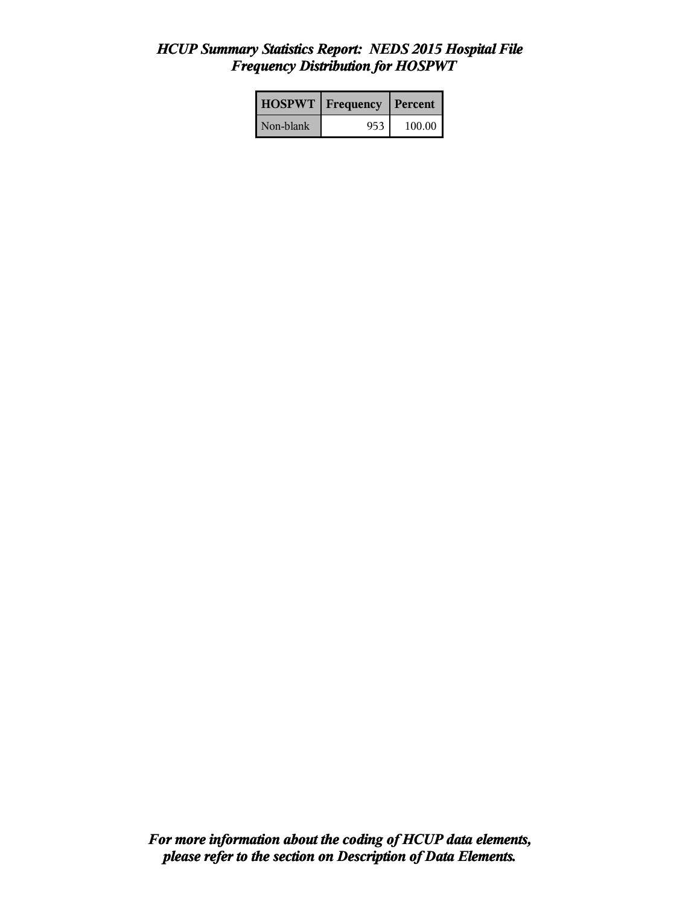### *HCUP Summary Statistics Report: NEDS 2015 Hospital File Frequency Distribution for HOSPWT*

| <b>HOSPWT</b>   Frequency |     | Percent  |
|---------------------------|-----|----------|
| Non-blank                 | 953 | 100.00 l |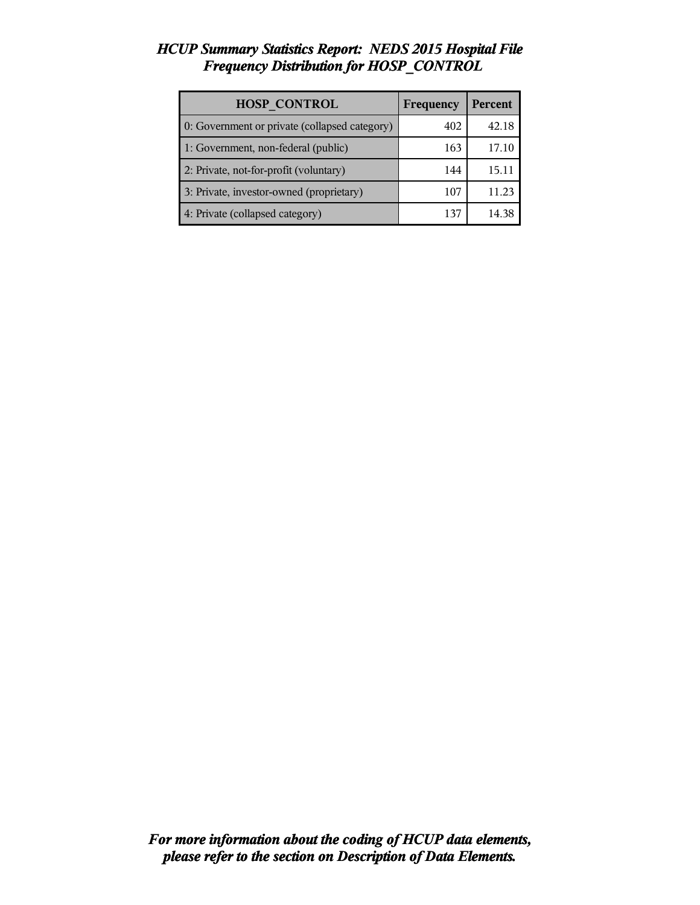### *HCUP Summary Statistics Report: NEDS 2015 Hospital File Frequency Distribution for HOSP\_CONTROL*

| <b>HOSP CONTROL</b>                           | Frequency | Percent |
|-----------------------------------------------|-----------|---------|
| 0: Government or private (collapsed category) | 402       | 42.18   |
| 1: Government, non-federal (public)           | 163       | 17.10   |
| 2: Private, not-for-profit (voluntary)        | 144       | 15.11   |
| 3: Private, investor-owned (proprietary)      | 107       | 11.23   |
| 4: Private (collapsed category)               | 137       | 14 38   |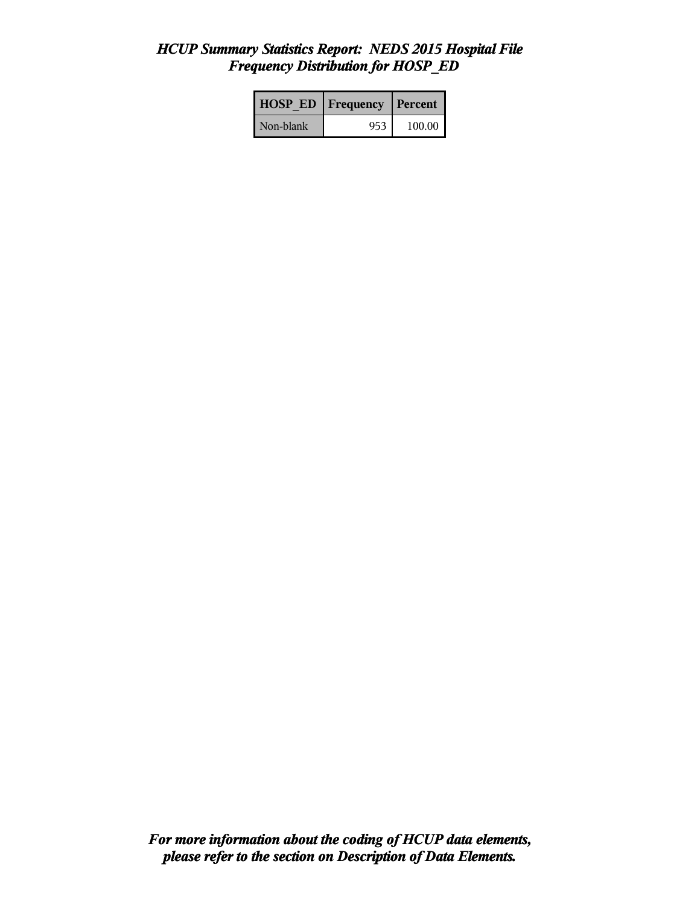### *HCUP Summary Statistics Report: NEDS 2015 Hospital File Frequency Distribution for HOSP\_ED*

| <b>HOSP ED</b> | Frequency | l Percent |
|----------------|-----------|-----------|
| Non-blank      | 953       | 100.00    |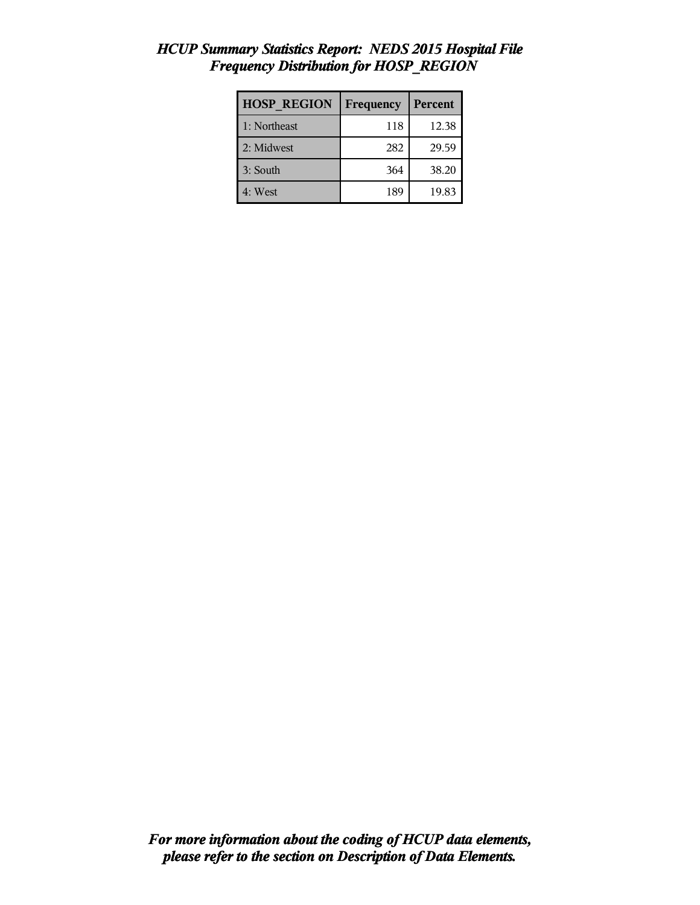| <b>HOSP REGION</b> | Frequency | Percent |
|--------------------|-----------|---------|
| 1: Northeast       | 118       | 12.38   |
| 2: Midwest         | 282       | 29.59   |
| 3: South           | 364       | 38.20   |
| 4: West            | 189       | 19.83   |

### *HCUP Summary Statistics Report: NEDS 2015 Hospital File Frequency Distribution for HOSP\_REGION*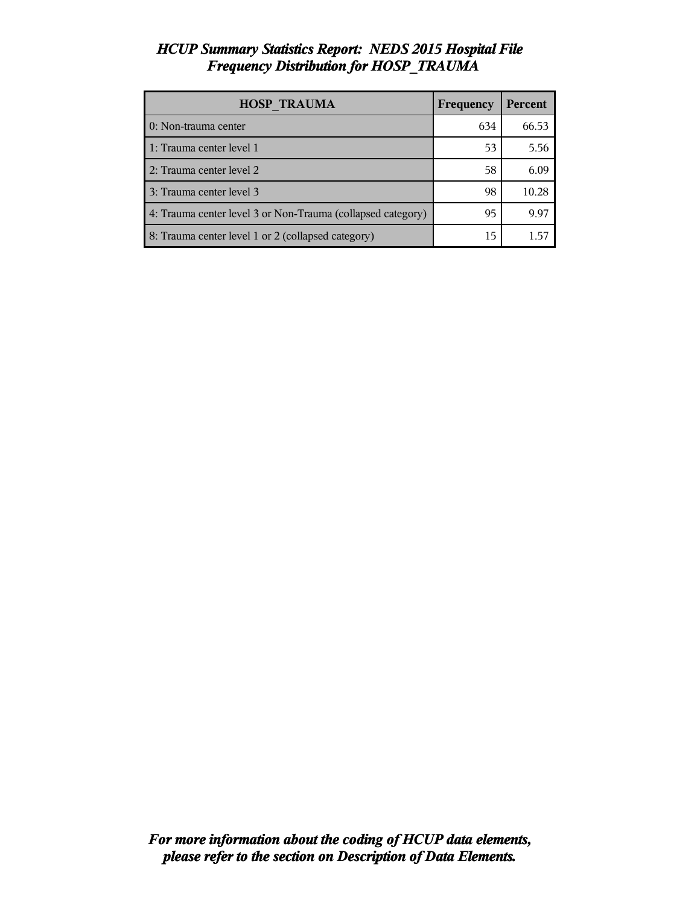### *HCUP Summary Statistics Report: NEDS 2015 Hospital File Frequency Distribution for HOSP\_TRAUMA*

| <b>HOSP TRAUMA</b>                                          | Frequency | <b>Percent</b> |
|-------------------------------------------------------------|-----------|----------------|
| 0: Non-trauma center                                        | 634       | 66.53          |
| 1: Trauma center level 1                                    | 53        | 5.56           |
| 2: Trauma center level 2                                    | 58        | 6.09           |
| 3: Trauma center level 3                                    | 98        | 10.28          |
| 4: Trauma center level 3 or Non-Trauma (collapsed category) | 95        | 9.97           |
| 8: Trauma center level 1 or 2 (collapsed category)          | 15        |                |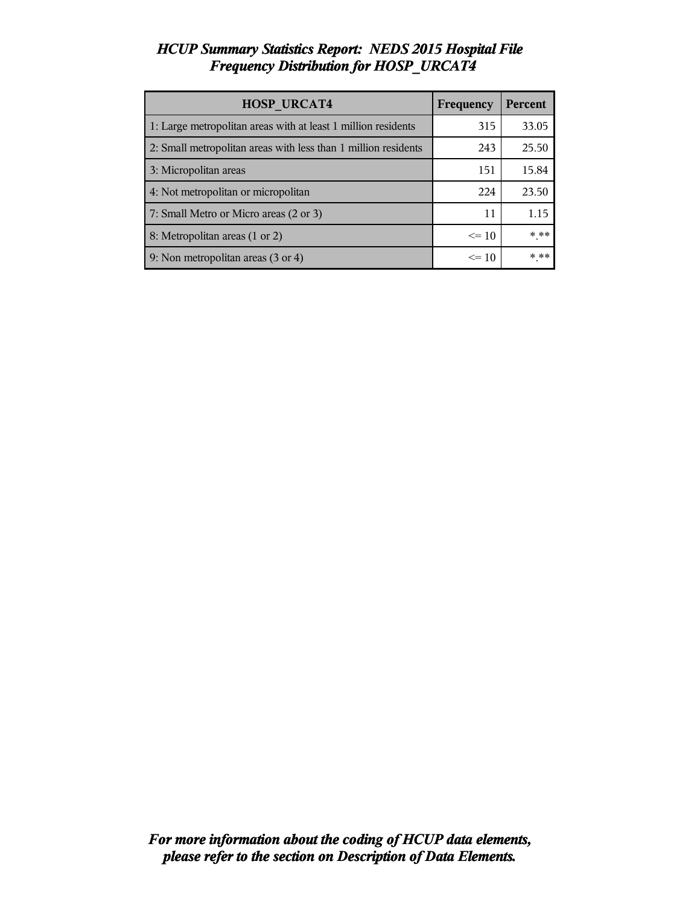# *HCUP Summary Statistics Report: NEDS 2015 Hospital File Frequency Distribution for HOSP\_URCAT4*

| <b>HOSP URCAT4</b>                                             | Frequency | Percent |
|----------------------------------------------------------------|-----------|---------|
| 1: Large metropolitan areas with at least 1 million residents  | 315       | 33.05   |
| 2: Small metropolitan areas with less than 1 million residents | 243       | 25.50   |
| 3: Micropolitan areas                                          | 151       | 15.84   |
| 4: Not metropolitan or micropolitan                            | 224       | 23.50   |
| 7: Small Metro or Micro areas (2 or 3)                         | 11        | 1.15    |
| 8: Metropolitan areas (1 or 2)                                 | $\leq 10$ | $***$   |
| 9: Non metropolitan areas (3 or 4)                             | $\leq 10$ | * **    |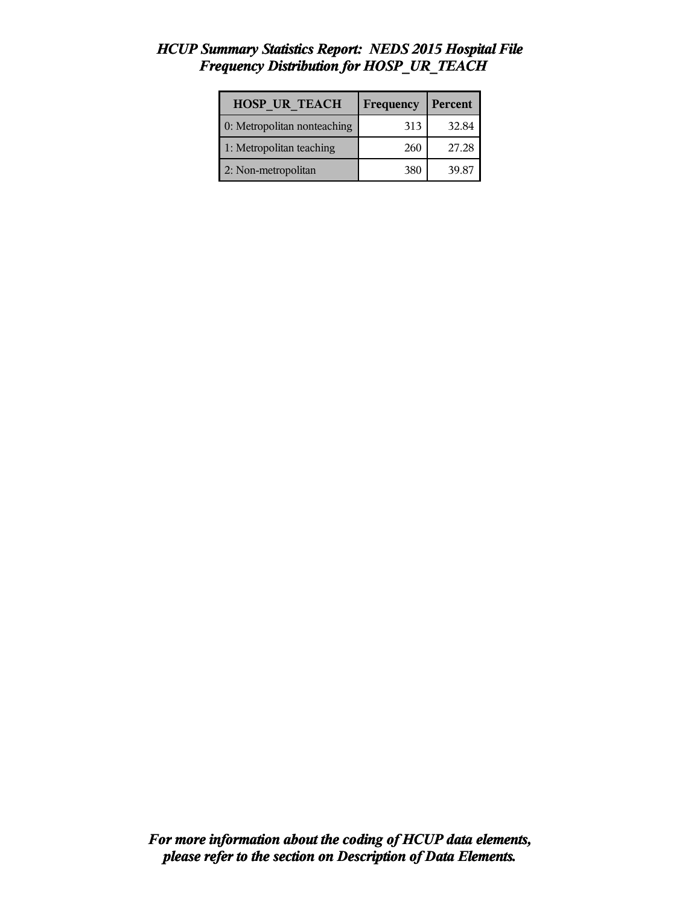### *HCUP Summary Statistics Report: NEDS 2015 Hospital File Frequency Distribution for HOSP\_UR\_TEACH*

| <b>HOSP UR TEACH</b>        | Frequency | Percent |
|-----------------------------|-----------|---------|
| 0: Metropolitan nonteaching | 313       | 32.84   |
| 1: Metropolitan teaching    | 260       | 27.28   |
| 2: Non-metropolitan         | 380       | 39.87   |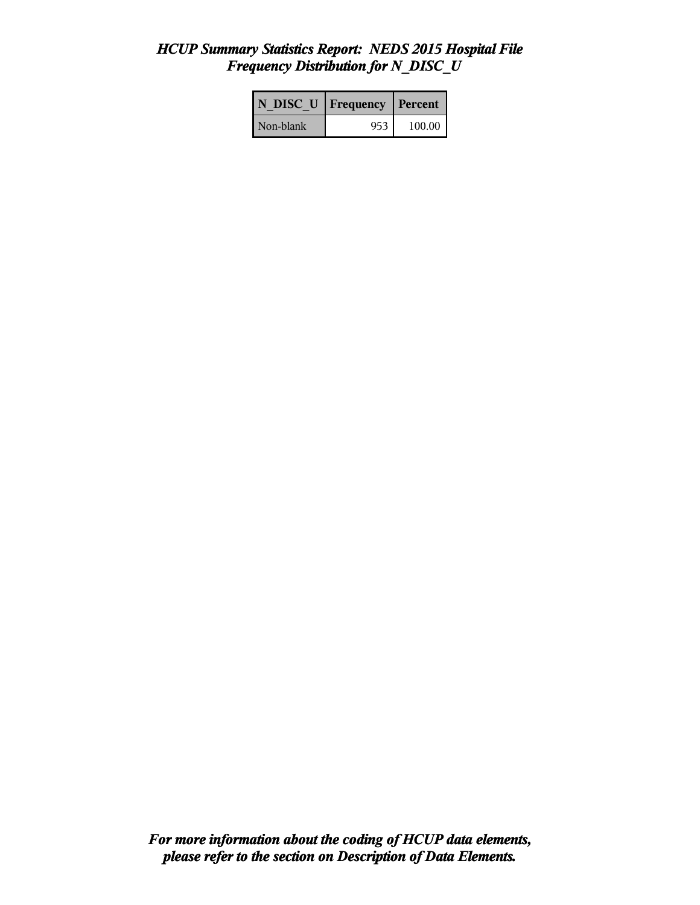### *HCUP Summary Statistics Report: NEDS 2015 Hospital File Frequency Distribution for N\_DISC\_U*

| N DISC U   Frequency |     | Percent |
|----------------------|-----|---------|
| Non-blank            | 953 | 100.00  |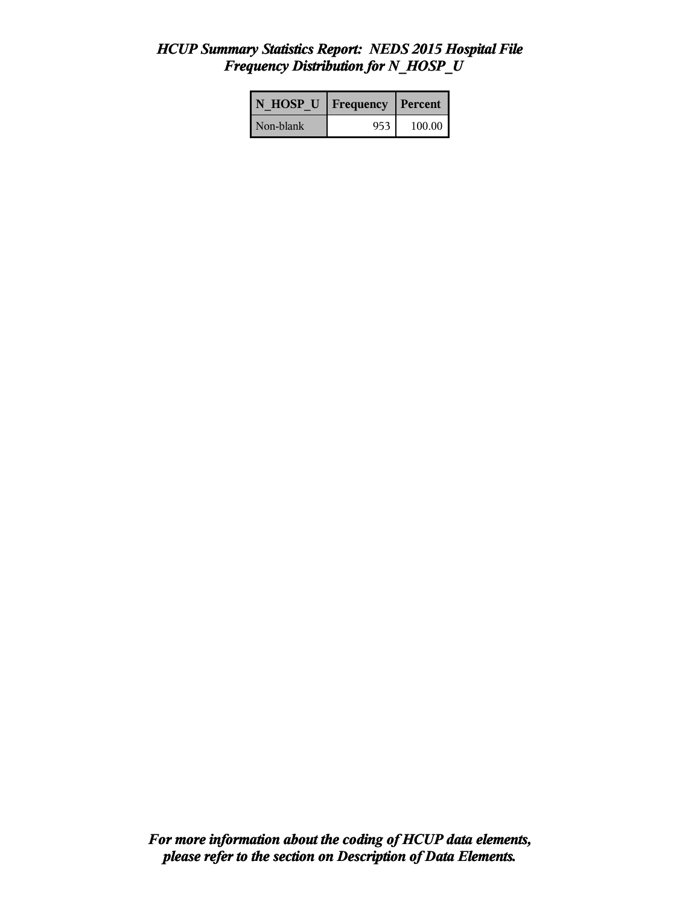### *HCUP Summary Statistics Report: NEDS 2015 Hospital File Frequency Distribution for N\_HOSP\_U*

| N HOSP U Frequency |     | l Percent |
|--------------------|-----|-----------|
| Non-blank          | 953 | 100.00    |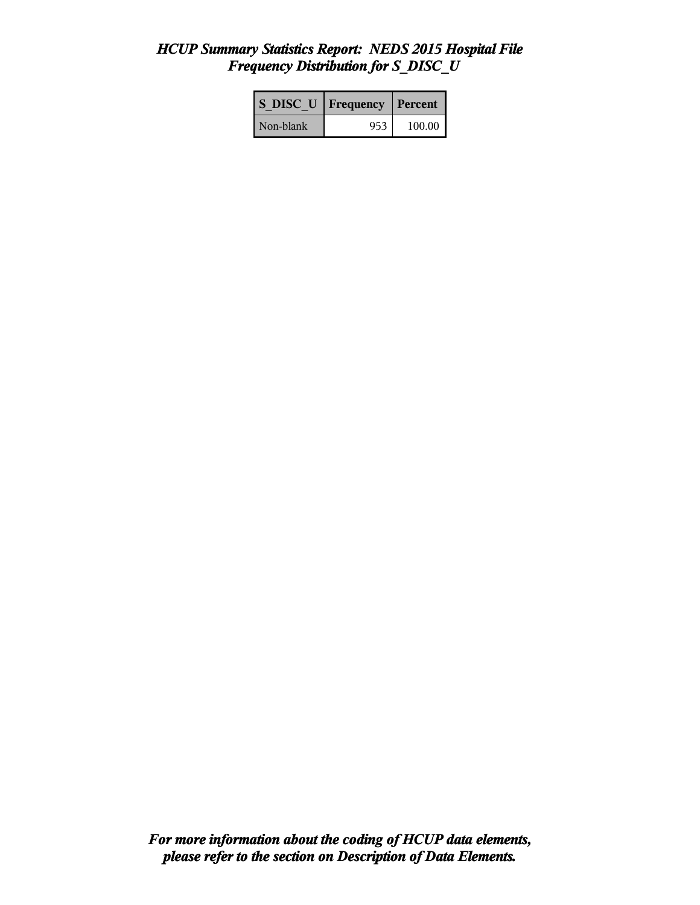# *HCUP Summary Statistics Report: NEDS 2015 Hospital File Frequency Distribution for S\_DISC\_U*

| <b>S DISC U</b> Frequency |      | Percent |
|---------------------------|------|---------|
| Non-blank                 | 953. | 100.00  |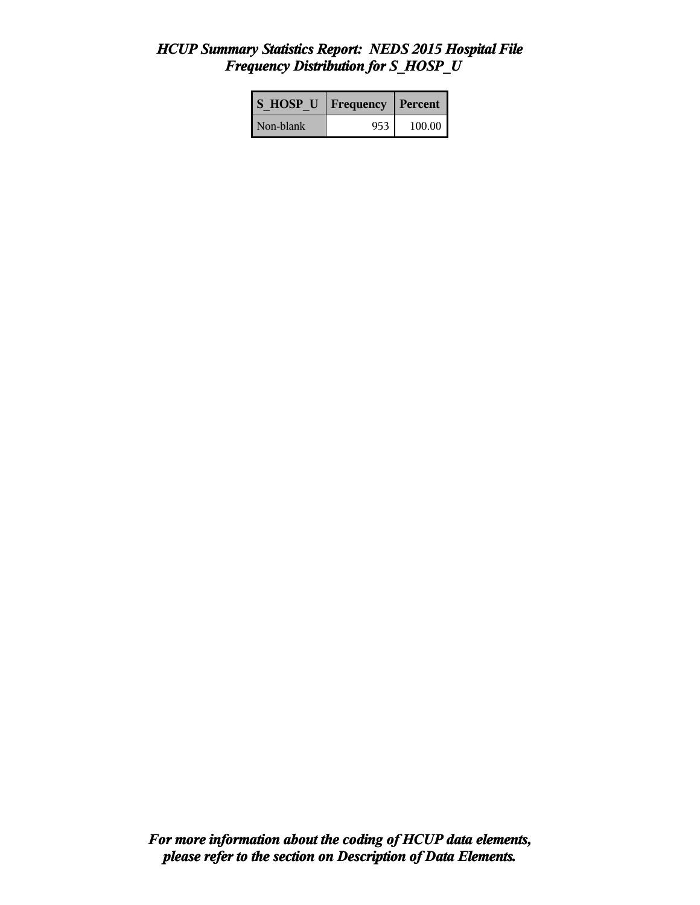### *HCUP Summary Statistics Report: NEDS 2015 Hospital File Frequency Distribution for S\_HOSP\_U*

| <b>S HOSP U</b> | Frequency | l Percent |
|-----------------|-----------|-----------|
| Non-blank       | 953       | 100.00    |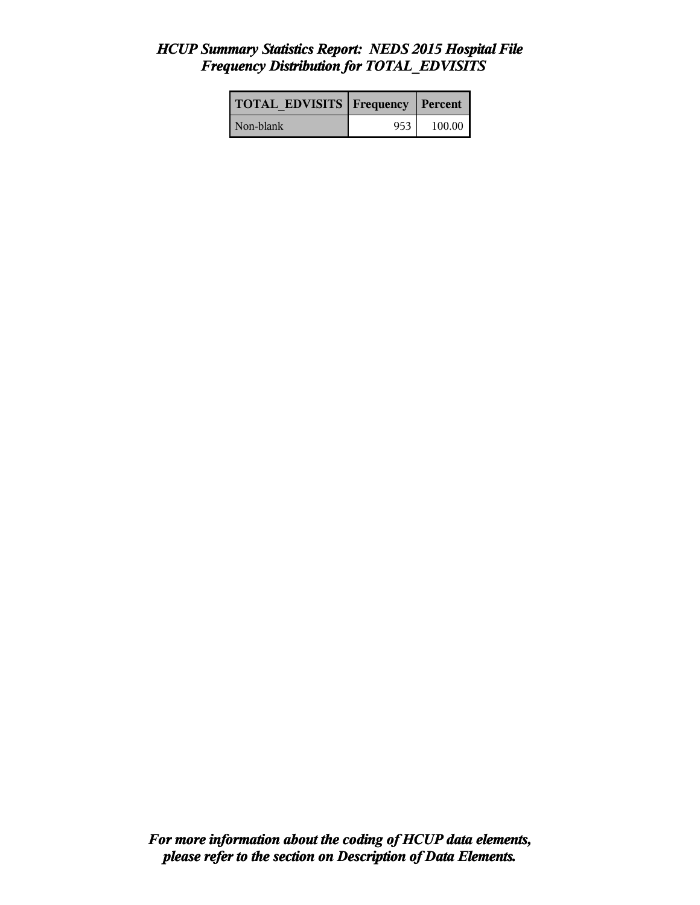# *HCUP Summary Statistics Report: NEDS 2015 Hospital File Frequency Distribution for TOTAL\_EDVISITS*

| <b>TOTAL EDVISITS Frequency Percent</b> |     |        |
|-----------------------------------------|-----|--------|
| Non-blank                               | 953 | 100.00 |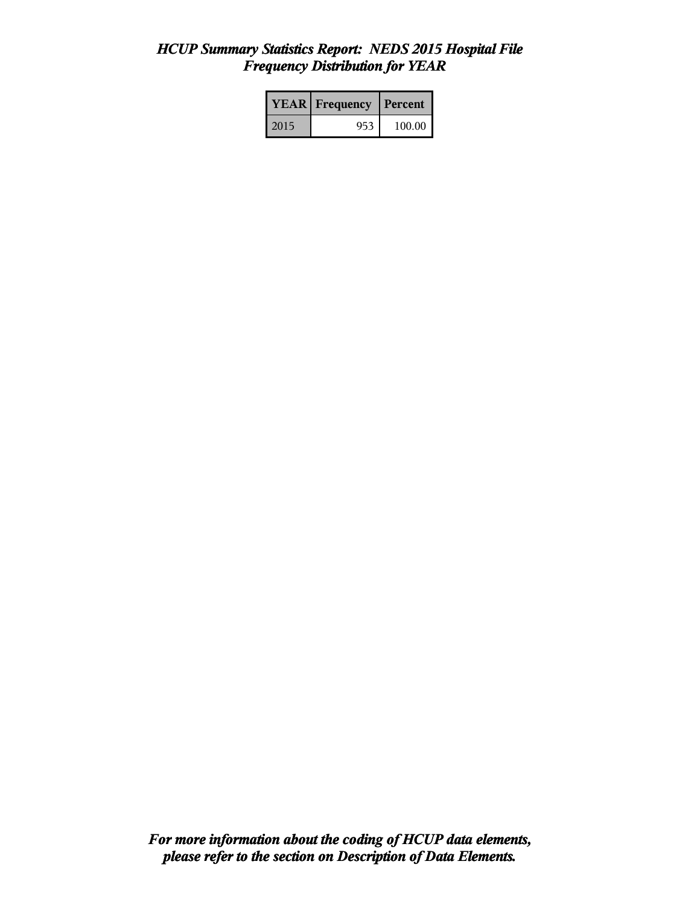### *HCUP Summary Statistics Report: NEDS 2015 Hospital File Frequency Distribution for YEAR*

|      | <b>YEAR</b> Frequency | <b>Percent</b> |  |
|------|-----------------------|----------------|--|
| 2015 | 953                   | 100.00         |  |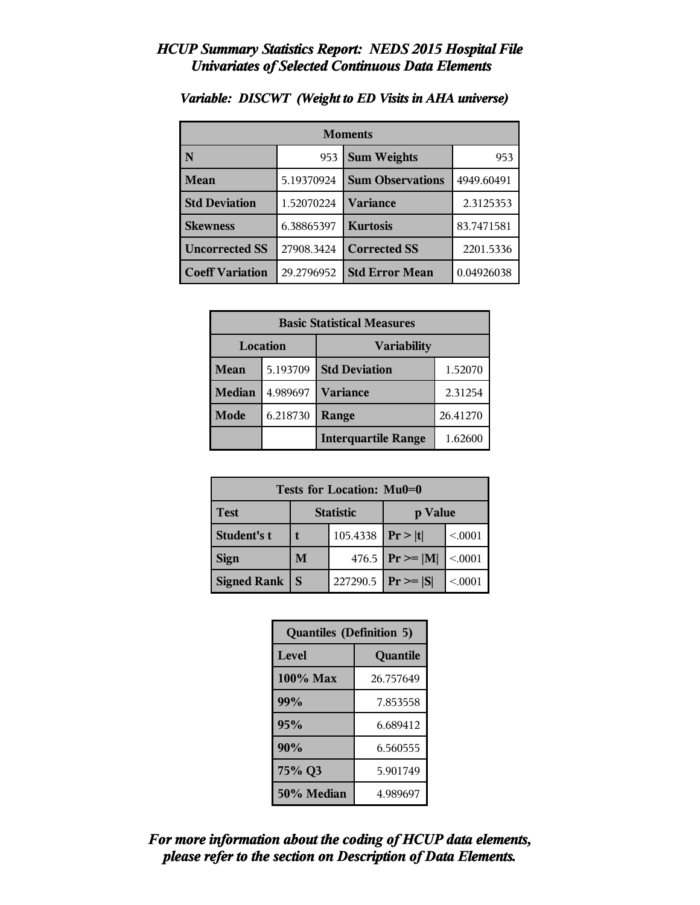| <b>Moments</b>         |            |                         |            |
|------------------------|------------|-------------------------|------------|
| N                      | 953        | <b>Sum Weights</b>      | 953        |
| <b>Mean</b>            | 5.19370924 | <b>Sum Observations</b> | 4949.60491 |
| <b>Std Deviation</b>   | 1.52070224 | Variance                | 2.3125353  |
| <b>Skewness</b>        | 6.38865397 | <b>Kurtosis</b>         | 83.7471581 |
| <b>Uncorrected SS</b>  | 27908.3424 | <b>Corrected SS</b>     | 2201.5336  |
| <b>Coeff Variation</b> | 29.2796952 | <b>Std Error Mean</b>   | 0.04926038 |

### *Variable: DISCWT (Weight to ED Visits in AHA universe)*

| <b>Basic Statistical Measures</b> |          |                            |          |
|-----------------------------------|----------|----------------------------|----------|
| Location                          |          | <b>Variability</b>         |          |
| Mean                              | 5.193709 | <b>Std Deviation</b>       | 1.52070  |
| <b>Median</b>                     | 4.989697 | <b>Variance</b>            | 2.31254  |
| Mode                              | 6.218730 | Range                      | 26.41270 |
|                                   |          | <b>Interquartile Range</b> | 1.62600  |

| Tests for Location: Mu0=0 |          |                  |                    |         |
|---------------------------|----------|------------------|--------------------|---------|
| Test                      |          | <b>Statistic</b> | p Value            |         |
| Student's t               | 105.4338 |                  | Pr> t              | < 0.001 |
| <b>Sign</b>               | M        |                  | 476.5 $Pr \ge  M $ | < 0.001 |
| <b>Signed Rank</b>        | S        | 227290.5         | $Pr \geq  S $      | < 0.001 |

| <b>Quantiles (Definition 5)</b> |           |  |
|---------------------------------|-----------|--|
| Level                           | Quantile  |  |
| 100% Max                        | 26.757649 |  |
| 99%                             | 7.853558  |  |
| 95%                             | 6.689412  |  |
| 90%                             | 6.560555  |  |
| 75% Q3                          | 5.901749  |  |
| 50% Median                      | 4.989697  |  |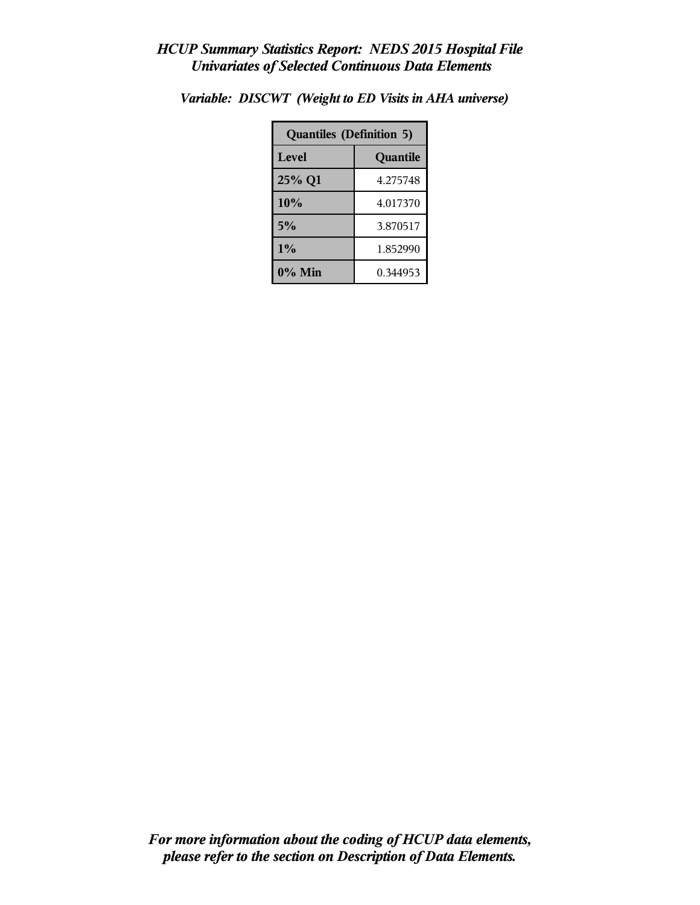| <b>Quantiles (Definition 5)</b> |          |  |
|---------------------------------|----------|--|
| Level                           | Quantile |  |
| 25% Q1                          | 4.275748 |  |
| 10%                             | 4.017370 |  |
| 5%                              | 3.870517 |  |
| 1%                              | 1.852990 |  |
| $0\%$ Min                       | 0.344953 |  |

*Variable: DISCWT (Weight to ED Visits in AHA universe)*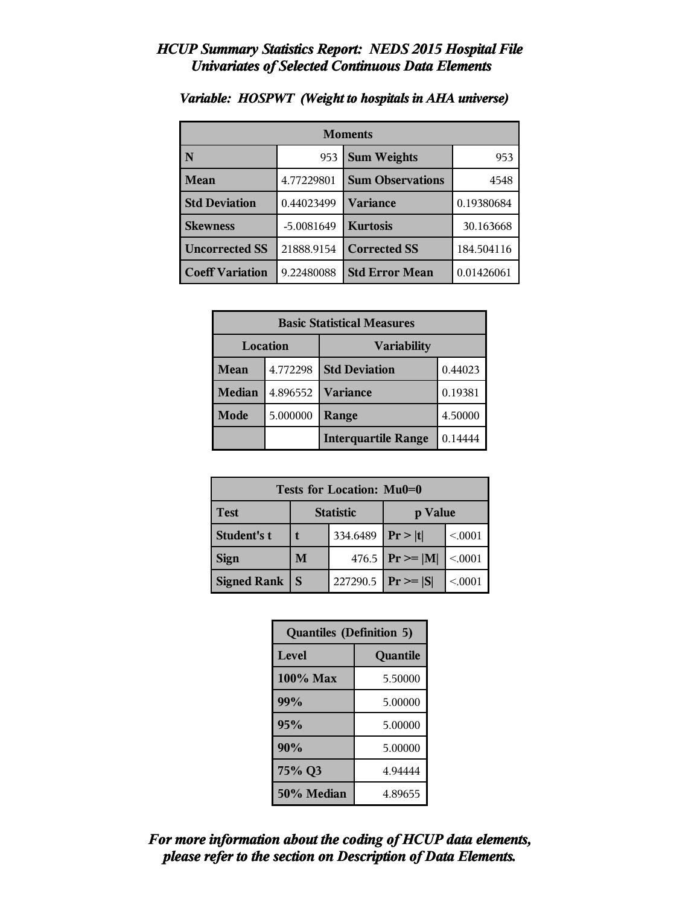| <b>Moments</b>         |            |                         |            |
|------------------------|------------|-------------------------|------------|
| N                      | 953        | <b>Sum Weights</b>      | 953        |
| <b>Mean</b>            | 4.77229801 | <b>Sum Observations</b> | 4548       |
| <b>Std Deviation</b>   | 0.44023499 | Variance                | 0.19380684 |
| <b>Skewness</b>        | -5.0081649 | <b>Kurtosis</b>         | 30.163668  |
| <b>Uncorrected SS</b>  | 21888.9154 | <b>Corrected SS</b>     | 184.504116 |
| <b>Coeff Variation</b> | 9.22480088 | <b>Std Error Mean</b>   | 0.01426061 |

# *Variable: HOSPWT (Weight to hospitals in AHA universe)*

| <b>Basic Statistical Measures</b> |          |                            |         |
|-----------------------------------|----------|----------------------------|---------|
| Location                          |          | <b>Variability</b>         |         |
| Mean                              | 4.772298 | <b>Std Deviation</b>       | 0.44023 |
| <b>Median</b>                     | 4.896552 | <b>Variance</b>            | 0.19381 |
| Mode                              | 5.000000 | Range                      | 4.50000 |
|                                   |          | <b>Interquartile Range</b> | 0.14444 |

| Tests for Location: Mu0=0 |          |                  |                    |         |
|---------------------------|----------|------------------|--------------------|---------|
| Test                      |          | <b>Statistic</b> | p Value            |         |
| Student's t               | 334.6489 |                  | Pr >  t            | < 0.001 |
| <b>Sign</b>               | M        |                  | 476.5 $Pr \ge  M $ | < 0001  |
| <b>Signed Rank</b>        | S        | 227290.5         | $ Pr \ge  S $      | < 0001  |

| <b>Quantiles (Definition 5)</b> |          |  |
|---------------------------------|----------|--|
| Level                           | Quantile |  |
| $100\%$ Max                     | 5.50000  |  |
| 99%                             | 5.00000  |  |
| 95%                             | 5.00000  |  |
| 90%                             | 5.00000  |  |
| 75% Q3<br>4.94444               |          |  |
| 50% Median                      | 4.89655  |  |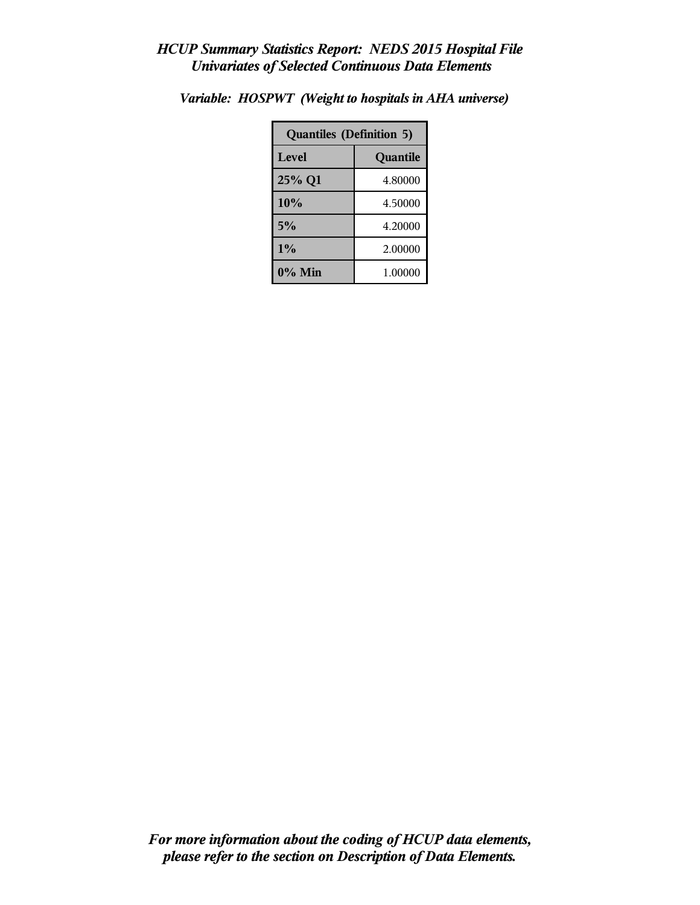| <b>Quantiles (Definition 5)</b> |          |  |
|---------------------------------|----------|--|
| Level                           | Quantile |  |
| 25% Q1                          | 4.80000  |  |
| 10%                             | 4.50000  |  |
| 5%                              | 4.20000  |  |
| $1\%$<br>2.00000                |          |  |
| $0\%$ Min                       | 1.00000  |  |

*Variable: HOSPWT (Weight to hospitals in AHA universe)*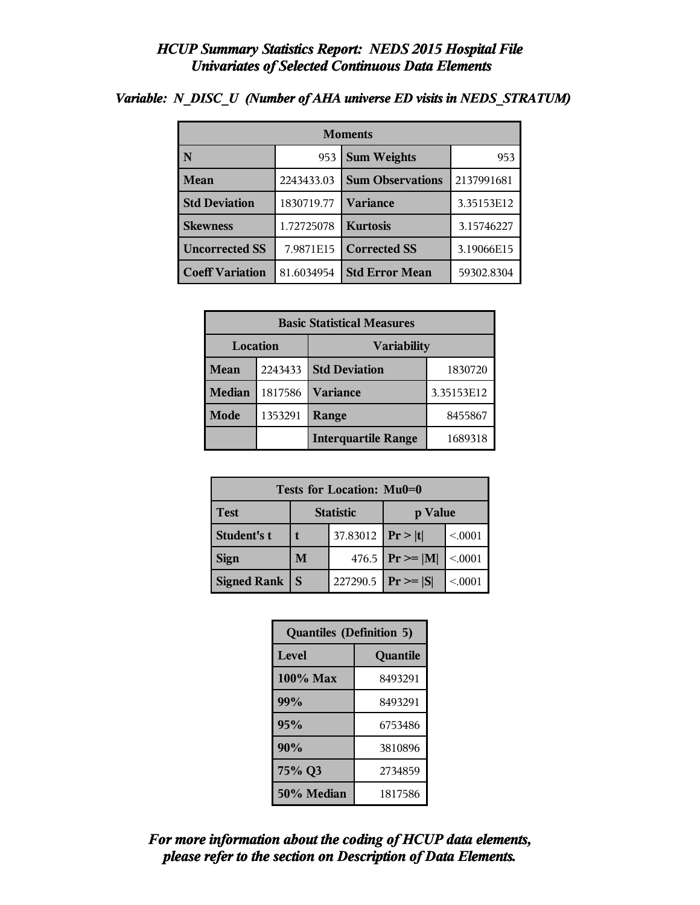| <b>Moments</b>         |            |                         |            |  |
|------------------------|------------|-------------------------|------------|--|
| N                      | 953        | <b>Sum Weights</b>      | 953        |  |
| <b>Mean</b>            | 2243433.03 | <b>Sum Observations</b> | 2137991681 |  |
| <b>Std Deviation</b>   | 1830719.77 | <b>Variance</b>         | 3.35153E12 |  |
| <b>Skewness</b>        | 1.72725078 | <b>Kurtosis</b>         | 3.15746227 |  |
| <b>Uncorrected SS</b>  | 7.9871E15  | <b>Corrected SS</b>     | 3.19066E15 |  |
| <b>Coeff Variation</b> | 81.6034954 | <b>Std Error Mean</b>   | 59302.8304 |  |

### *Variable: N\_DISC\_U (Number of AHA universe ED visits in NEDS\_STRATUM)*

| <b>Basic Statistical Measures</b> |         |                                 |            |  |
|-----------------------------------|---------|---------------------------------|------------|--|
| Location<br><b>Variability</b>    |         |                                 |            |  |
| Mean                              | 2243433 | <b>Std Deviation</b><br>1830720 |            |  |
| <b>Median</b>                     | 1817586 | <b>Variance</b>                 | 3.35153E12 |  |
| <b>Mode</b>                       | 1353291 | 8455867<br>Range                |            |  |
|                                   |         | <b>Interquartile Range</b>      | 1689318    |  |

| Tests for Location: Mu0=0 |                             |                    |                    |         |  |
|---------------------------|-----------------------------|--------------------|--------------------|---------|--|
| <b>Test</b>               | <b>Statistic</b><br>p Value |                    |                    |         |  |
| Student's t               |                             | 37.83012 $ Pr> t $ |                    | < 0.001 |  |
| <b>Sign</b>               | M                           |                    | 476.5 $Pr \ge  M $ | < .0001 |  |
| <b>Signed Rank</b>        | S                           | 227290.5           | $ Pr \ge  S $      | < 0001  |  |

| <b>Quantiles (Definition 5)</b> |          |  |
|---------------------------------|----------|--|
| Level                           | Quantile |  |
| $100\%$ Max                     | 8493291  |  |
| 99%                             | 8493291  |  |
| 95%                             | 6753486  |  |
| 90%                             | 3810896  |  |
| 75% Q3<br>2734859               |          |  |
| 50% Median<br>1817586           |          |  |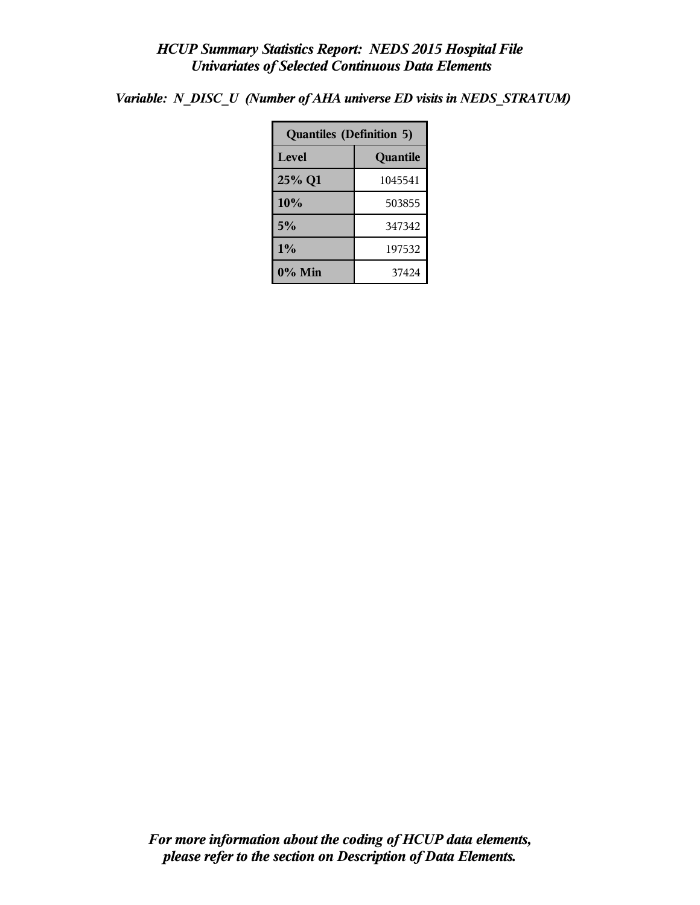*Variable: N\_DISC\_U (Number of AHA universe ED visits in NEDS\_STRATUM)*

| <b>Quantiles (Definition 5)</b> |          |  |  |
|---------------------------------|----------|--|--|
| Level                           | Quantile |  |  |
| 25% Q1                          | 1045541  |  |  |
| 10%                             | 503855   |  |  |
| 5%                              | 347342   |  |  |
| 1%                              | 197532   |  |  |
| $0\%$ Min                       | 37424    |  |  |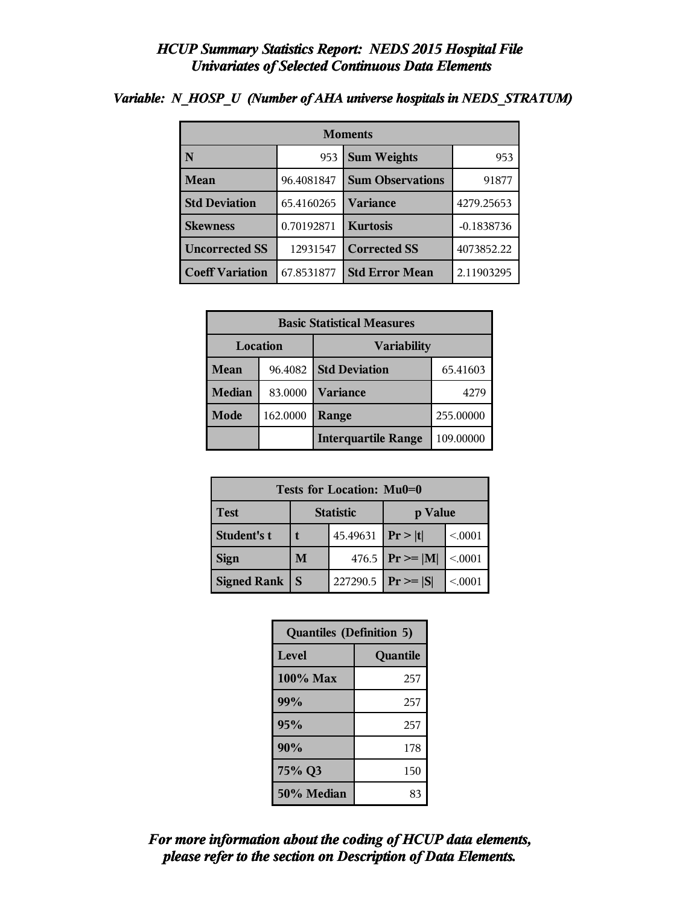| <b>Moments</b>         |            |                         |              |  |
|------------------------|------------|-------------------------|--------------|--|
| N                      | 953        | <b>Sum Weights</b>      |              |  |
| <b>Mean</b>            | 96.4081847 | <b>Sum Observations</b> | 91877        |  |
| <b>Std Deviation</b>   | 65.4160265 | Variance                | 4279.25653   |  |
| <b>Skewness</b>        | 0.70192871 | <b>Kurtosis</b>         | $-0.1838736$ |  |
| <b>Uncorrected SS</b>  | 12931547   | <b>Corrected SS</b>     | 4073852.22   |  |
| <b>Coeff Variation</b> | 67.8531877 | <b>Std Error Mean</b>   | 2.11903295   |  |

### *Variable: N\_HOSP\_U (Number of AHA universe hospitals in NEDS\_STRATUM)*

| <b>Basic Statistical Measures</b> |          |                                  |           |  |
|-----------------------------------|----------|----------------------------------|-----------|--|
| Location<br><b>Variability</b>    |          |                                  |           |  |
| Mean                              | 96.4082  | <b>Std Deviation</b><br>65.41603 |           |  |
| <b>Median</b>                     | 83.0000  | <b>Variance</b><br>4279          |           |  |
| <b>Mode</b>                       | 162.0000 | Range                            | 255.00000 |  |
|                                   |          | <b>Interquartile Range</b>       | 109.00000 |  |

| Tests for Location: Mu0=0 |                             |                       |                    |         |  |
|---------------------------|-----------------------------|-----------------------|--------------------|---------|--|
| <b>Test</b>               | <b>Statistic</b><br>p Value |                       |                    |         |  |
| Student's t               |                             | 45.49631   $Pr >  t $ |                    | < 0.001 |  |
| <b>Sign</b>               | M                           |                       | 476.5 $Pr \ge  M $ | < .0001 |  |
| <b>Signed Rank</b>        | S                           | 227290.5              | $Pr \geq  S $      | < 0001  |  |

| <b>Quantiles (Definition 5)</b> |          |  |
|---------------------------------|----------|--|
| Level                           | Quantile |  |
| $100\%$ Max                     | 257      |  |
| 99%                             | 257      |  |
| 95%                             | 257      |  |
| 90%                             | 178      |  |
| 75% Q3                          | 150      |  |
| 50% Median                      | 83       |  |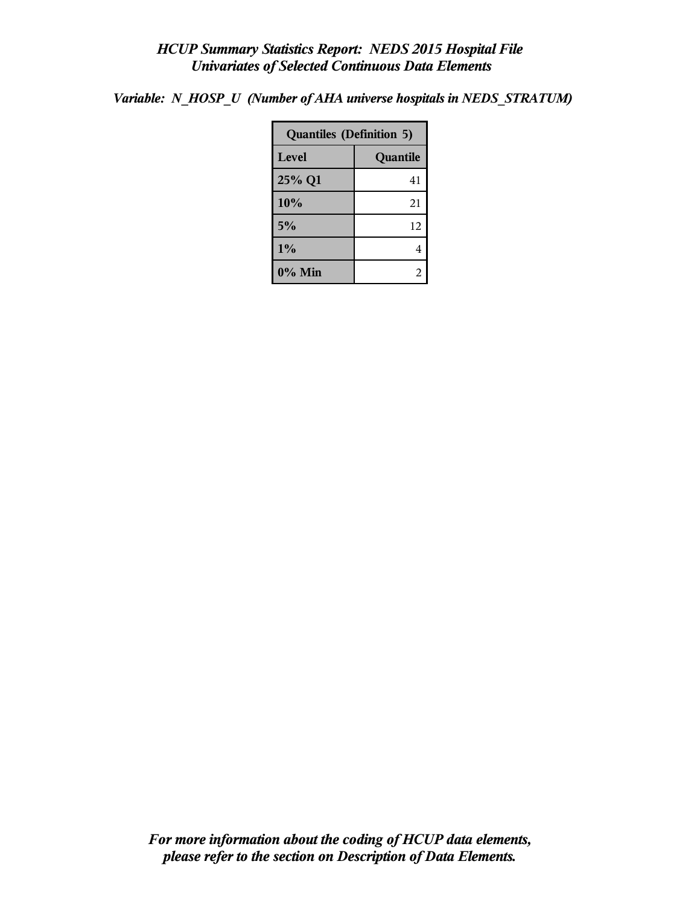*Variable: N\_HOSP\_U (Number of AHA universe hospitals in NEDS\_STRATUM)*

| <b>Quantiles (Definition 5)</b> |          |  |
|---------------------------------|----------|--|
| <b>Level</b>                    | Quantile |  |
| 25% Q1                          | 41       |  |
| 10%                             | 21       |  |
| 5%                              | 12       |  |
| 1%                              | 4        |  |
| $0\%$ Min                       |          |  |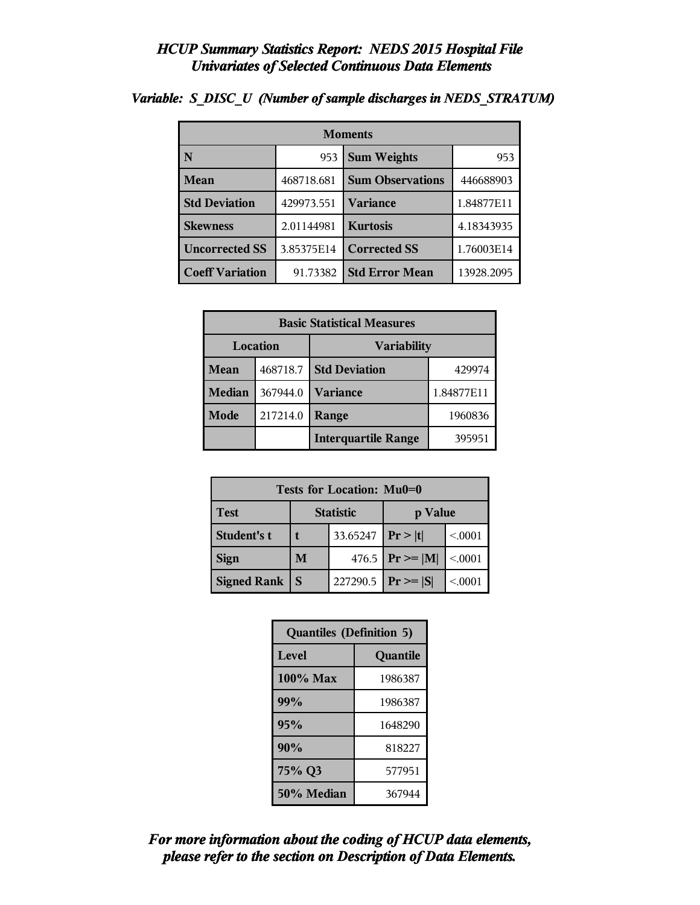| <b>Moments</b>         |            |                         |            |  |
|------------------------|------------|-------------------------|------------|--|
| N                      | 953        | <b>Sum Weights</b>      |            |  |
| <b>Mean</b>            | 468718.681 | <b>Sum Observations</b> | 446688903  |  |
| <b>Std Deviation</b>   | 429973.551 | <b>Variance</b>         | 1.84877E11 |  |
| <b>Skewness</b>        | 2.01144981 | <b>Kurtosis</b>         | 4.18343935 |  |
| <b>Uncorrected SS</b>  | 3.85375E14 | <b>Corrected SS</b>     | 1.76003E14 |  |
| <b>Coeff Variation</b> | 91.73382   | <b>Std Error Mean</b>   | 13928.2095 |  |

### *Variable: S\_DISC\_U (Number of sample discharges in NEDS\_STRATUM)*

| <b>Basic Statistical Measures</b> |          |                            |            |  |  |
|-----------------------------------|----------|----------------------------|------------|--|--|
|                                   | Location | <b>Variability</b>         |            |  |  |
| <b>Mean</b>                       | 468718.7 | <b>Std Deviation</b>       | 429974     |  |  |
| <b>Median</b>                     | 367944.0 | <b>Variance</b>            | 1.84877E11 |  |  |
| Mode                              | 217214.0 | Range                      | 1960836    |  |  |
|                                   |          | <b>Interquartile Range</b> | 395951     |  |  |

| Tests for Location: Mu0=0 |                             |          |                     |         |  |  |
|---------------------------|-----------------------------|----------|---------------------|---------|--|--|
| <b>Test</b>               | <b>Statistic</b><br>p Value |          |                     |         |  |  |
| Student's t               | 33.65247                    |          | Pr> t               | < 0.001 |  |  |
| <b>Sign</b>               | M                           |          | 476.5 $ Pr \ge  M $ | < 0.001 |  |  |
| <b>Signed Rank</b>        | S                           | 227290.5 | $Pr \geq  S $       | < 0.001 |  |  |

| <b>Quantiles (Definition 5)</b> |         |  |  |  |
|---------------------------------|---------|--|--|--|
| Level<br>Quantile               |         |  |  |  |
| $100\%$ Max                     | 1986387 |  |  |  |
| 99%                             | 1986387 |  |  |  |
| 95%                             | 1648290 |  |  |  |
| 90%                             | 818227  |  |  |  |
| 75% Q3<br>577951                |         |  |  |  |
| 50% Median<br>367944            |         |  |  |  |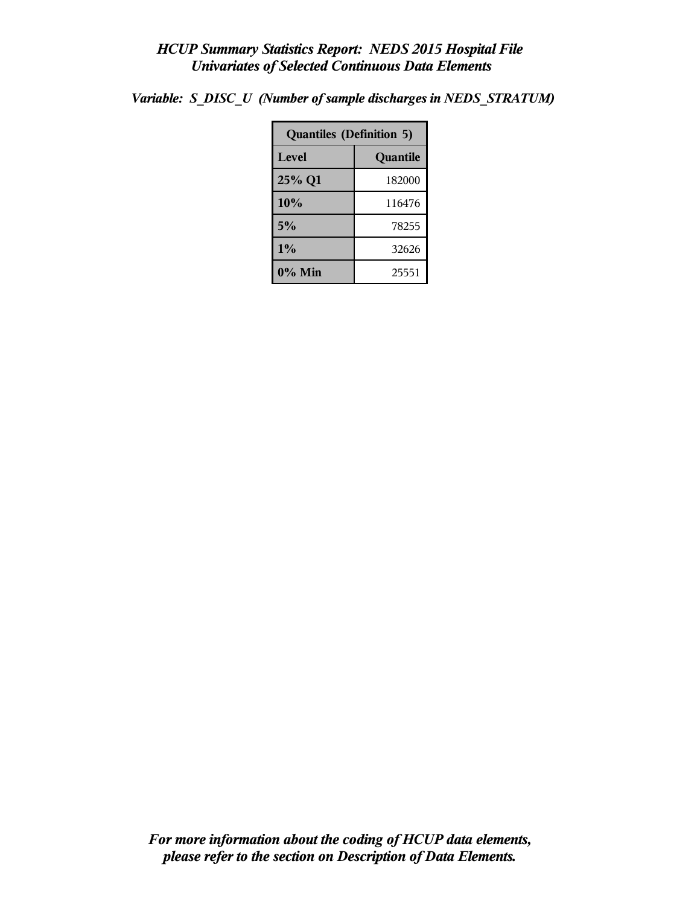| <b>Quantiles (Definition 5)</b> |          |  |  |
|---------------------------------|----------|--|--|
| <b>Level</b>                    | Quantile |  |  |
| 25% Q1                          | 182000   |  |  |
| 10%                             | 116476   |  |  |
| 5%                              | 78255    |  |  |
| 1%<br>32626                     |          |  |  |
| 0% Min                          | 25551    |  |  |

*Variable: S\_DISC\_U (Number of sample discharges in NEDS\_STRATUM)*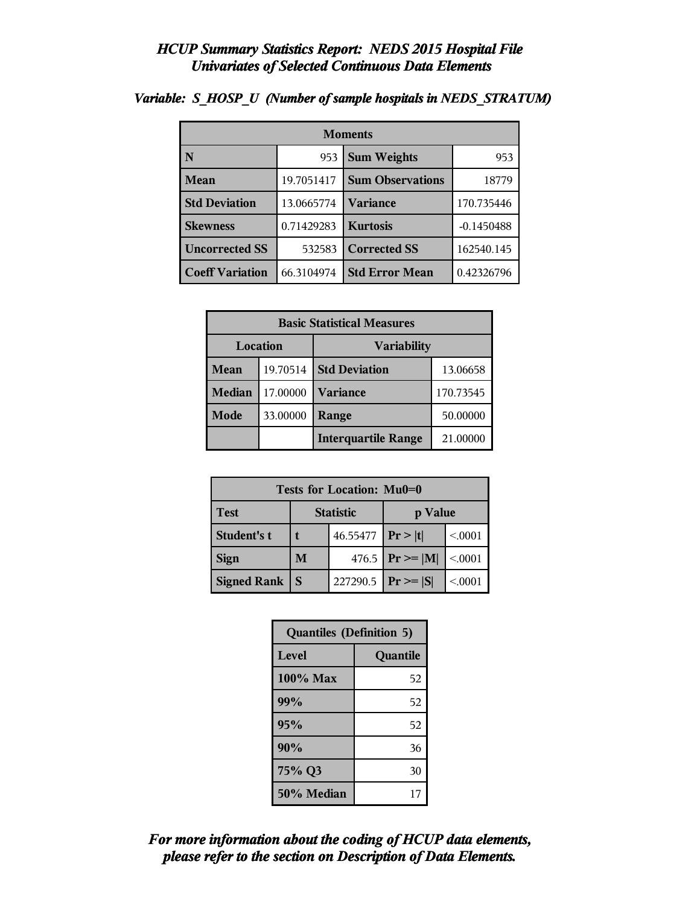| <b>Moments</b>         |            |                         |              |  |  |
|------------------------|------------|-------------------------|--------------|--|--|
| N                      | 953        | <b>Sum Weights</b>      | 953          |  |  |
| Mean                   | 19.7051417 | <b>Sum Observations</b> | 18779        |  |  |
| <b>Std Deviation</b>   | 13.0665774 | <b>Variance</b>         | 170.735446   |  |  |
| <b>Skewness</b>        | 0.71429283 | <b>Kurtosis</b>         | $-0.1450488$ |  |  |
| <b>Uncorrected SS</b>  | 532583     | <b>Corrected SS</b>     | 162540.145   |  |  |
| <b>Coeff Variation</b> | 66.3104974 | <b>Std Error Mean</b>   | 0.42326796   |  |  |

### *Variable: S\_HOSP\_U (Number of sample hospitals in NEDS\_STRATUM)*

| <b>Basic Statistical Measures</b> |          |                            |           |  |  |
|-----------------------------------|----------|----------------------------|-----------|--|--|
| Location<br><b>Variability</b>    |          |                            |           |  |  |
| <b>Mean</b>                       | 19.70514 | <b>Std Deviation</b>       | 13.06658  |  |  |
| <b>Median</b>                     | 17.00000 | <b>Variance</b>            | 170.73545 |  |  |
| Mode                              | 33.00000 | Range                      | 50.00000  |  |  |
|                                   |          | <b>Interquartile Range</b> | 21.00000  |  |  |

| Tests for Location: Mu0=0 |                             |          |                    |         |  |  |
|---------------------------|-----------------------------|----------|--------------------|---------|--|--|
| <b>Test</b>               | <b>Statistic</b><br>p Value |          |                    |         |  |  |
| Student's t               | 46.55477   $Pr >  t $       |          |                    | < 0.001 |  |  |
| <b>Sign</b>               | M                           |          | 476.5 $Pr \ge  M $ | < .0001 |  |  |
| <b>Signed Rank</b>        | S                           | 227290.5 | $ Pr \geq  S $     | < 0001  |  |  |

| <b>Quantiles (Definition 5)</b> |          |  |  |  |
|---------------------------------|----------|--|--|--|
| Level                           | Quantile |  |  |  |
| 100% Max                        | 52       |  |  |  |
| 99%                             | 52       |  |  |  |
| 95%                             | 52       |  |  |  |
| 90%                             | 36       |  |  |  |
| 75% Q3                          | 30       |  |  |  |
| 50% Median                      | 17       |  |  |  |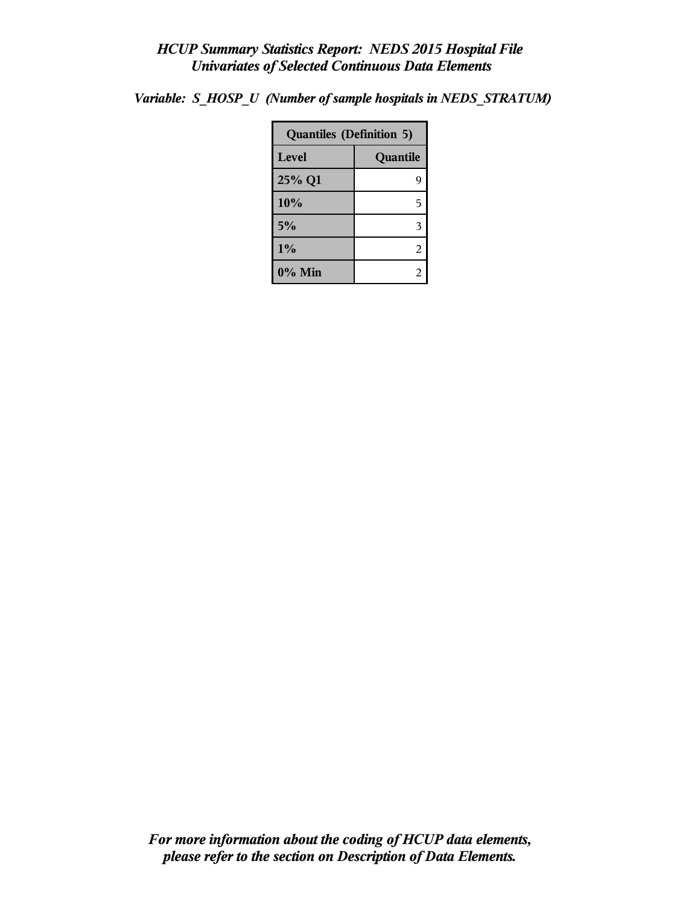| <b>Quantiles (Definition 5)</b> |          |  |  |
|---------------------------------|----------|--|--|
| Level                           | Quantile |  |  |
| 25% Q1                          | 9        |  |  |
| 10%                             | 5        |  |  |
| 5%                              | 3        |  |  |
| $1\%$                           | 2        |  |  |
| 0% Min                          | 2        |  |  |

*Variable: S\_HOSP\_U (Number of sample hospitals in NEDS\_STRATUM)*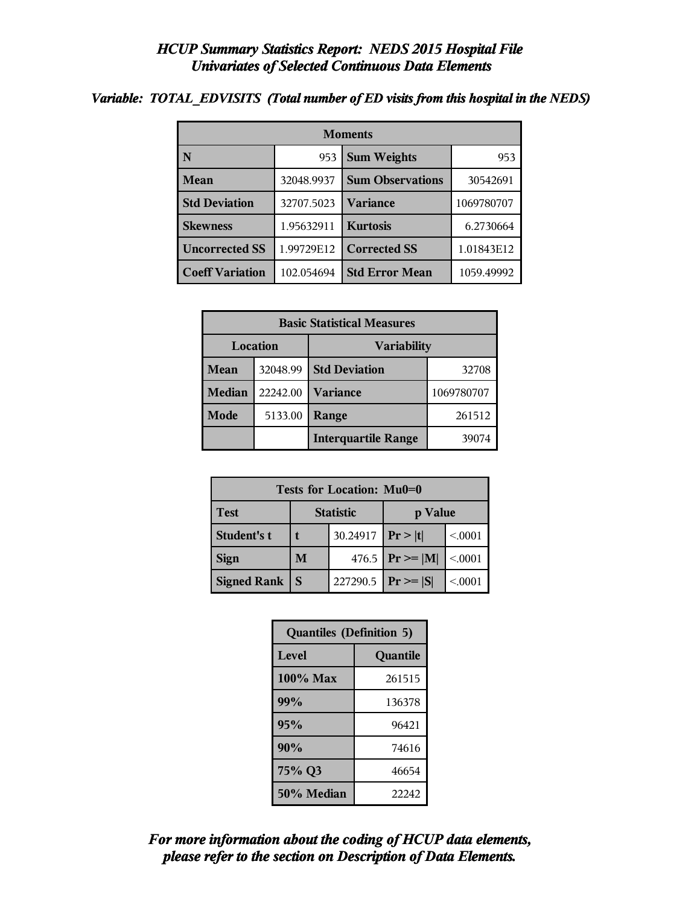### *Variable: TOTAL\_EDVISITS (Total number of ED visits from this hospital in the NEDS)*

| <b>Moments</b>                     |            |                         |            |  |  |
|------------------------------------|------------|-------------------------|------------|--|--|
| N                                  | 953        | <b>Sum Weights</b>      | 953        |  |  |
| <b>Mean</b>                        | 32048.9937 | <b>Sum Observations</b> | 30542691   |  |  |
| <b>Std Deviation</b><br>32707.5023 |            | <b>Variance</b>         | 1069780707 |  |  |
| <b>Skewness</b>                    | 1.95632911 | <b>Kurtosis</b>         | 6.2730664  |  |  |
| <b>Uncorrected SS</b>              | 1.99729E12 | <b>Corrected SS</b>     | 1.01843E12 |  |  |
| <b>Coeff Variation</b>             | 102.054694 | <b>Std Error Mean</b>   | 1059.49992 |  |  |

| <b>Basic Statistical Measures</b> |                 |                            |            |  |  |
|-----------------------------------|-----------------|----------------------------|------------|--|--|
|                                   | <b>Location</b> | <b>Variability</b>         |            |  |  |
| Mean                              | 32048.99        | <b>Std Deviation</b>       | 32708      |  |  |
| <b>Median</b>                     | 22242.00        | <b>Variance</b>            | 1069780707 |  |  |
| <b>Mode</b>                       | 5133.00         | Range                      | 261512     |  |  |
|                                   |                 | <b>Interquartile Range</b> | 39074      |  |  |

| Tests for Location: Mu0=0 |                             |          |                                   |         |  |  |
|---------------------------|-----------------------------|----------|-----------------------------------|---------|--|--|
| <b>Test</b>               | <b>Statistic</b><br>p Value |          |                                   |         |  |  |
| Student's t               |                             | 30.24917 | Pr> t                             | < 0.001 |  |  |
| <b>Sign</b>               | M                           |          | 476.5 $ {\rm Pr}\!\geq= {\rm M} $ | < 0.001 |  |  |
| <b>Signed Rank</b><br>S   |                             | 227290.5 | $Pr \geq  S $                     | < 0.001 |  |  |

| <b>Quantiles (Definition 5)</b> |          |
|---------------------------------|----------|
| Level                           | Quantile |
| $100\%$ Max                     | 261515   |
| 99%                             | 136378   |
| 95%                             | 96421    |
| 90%                             | 74616    |
| 75% Q3                          | 46654    |
| 50% Median                      | 22242    |